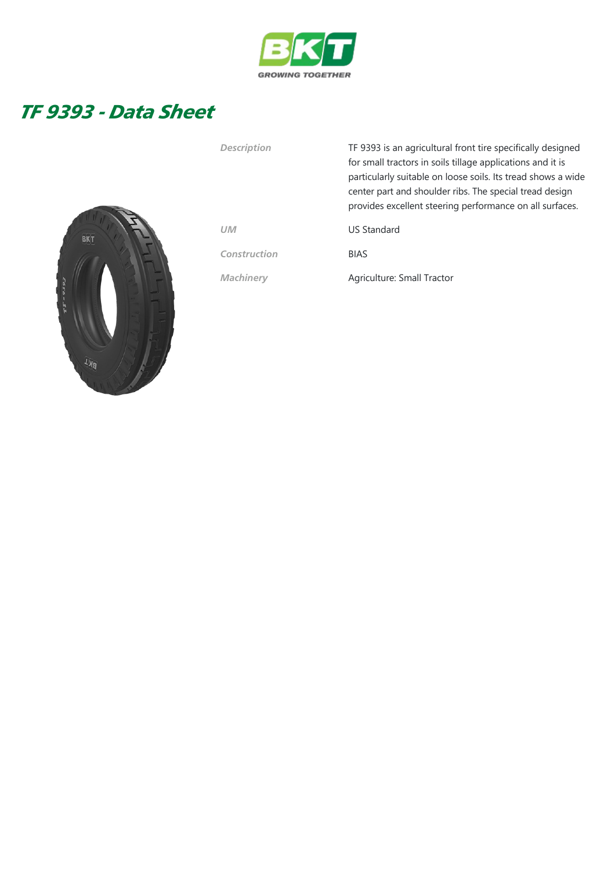

## TF 9393 - Data Sheet



| Description  | TF 9393 is an agricultural front tire specifically designed<br>for small tractors in soils tillage applications and it is<br>particularly suitable on loose soils. Its tread shows a wide<br>center part and shoulder ribs. The special tread design<br>provides excellent steering performance on all surfaces. |
|--------------|------------------------------------------------------------------------------------------------------------------------------------------------------------------------------------------------------------------------------------------------------------------------------------------------------------------|
| <b>UM</b>    | <b>US Standard</b>                                                                                                                                                                                                                                                                                               |
| Construction | <b>BIAS</b>                                                                                                                                                                                                                                                                                                      |
| Machinery    | Agriculture: Small Tractor                                                                                                                                                                                                                                                                                       |
|              |                                                                                                                                                                                                                                                                                                                  |